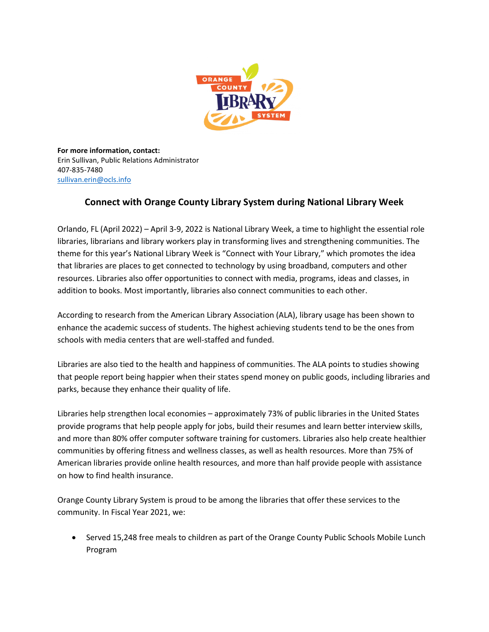

**For more information, contact:** Erin Sullivan, Public Relations Administrator 407-835-7480 [sullivan.erin@ocls.info](mailto:sullivan.erin@ocls.info)

## **Connect with Orange County Library System during National Library Week**

Orlando, FL (April 2022) – April 3-9, 2022 is National Library Week, a time to highlight the essential role libraries, librarians and library workers play in transforming lives and strengthening communities. The theme for this year's National Library Week is "Connect with Your Library," which promotes the idea that libraries are places to get connected to technology by using broadband, computers and other resources. Libraries also offer opportunities to connect with media, programs, ideas and classes, in addition to books. Most importantly, libraries also connect communities to each other.

According to research from the American Library Association (ALA), library usage has been shown to enhance the academic success of students. The highest achieving students tend to be the ones from schools with media centers that are well-staffed and funded.

Libraries are also tied to the health and happiness of communities. The ALA points to studies showing that people report being happier when their states spend money on public goods, including libraries and parks, because they enhance their quality of life.

Libraries help strengthen local economies – approximately 73% of public libraries in the United States provide programs that help people apply for jobs, build their resumes and learn better interview skills, and more than 80% offer computer software training for customers. Libraries also help create healthier communities by offering fitness and wellness classes, as well as health resources. More than 75% of American libraries provide online health resources, and more than half provide people with assistance on how to find health insurance.

Orange County Library System is proud to be among the libraries that offer these services to the community. In Fiscal Year 2021, we:

• Served 15,248 free meals to children as part of the Orange County Public Schools Mobile Lunch Program